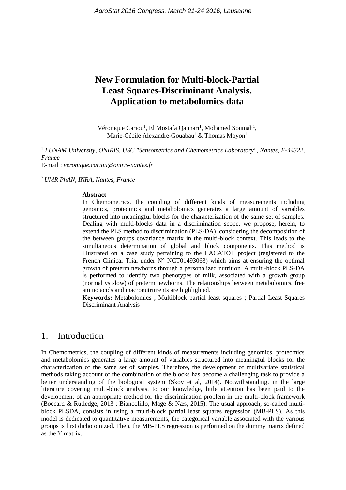# **New Formulation for Multi-block-Partial Least Squares-Discriminant Analysis. Application to metabolomics data**

Véronique Cariou<sup>1</sup>, El Mostafa Qannari<sup>1</sup>, Mohamed Soumah<sup>1</sup>, Marie-Cécile Alexandre-Gouabau<sup>2</sup> & Thomas Moyon<sup>2</sup>

<sup>1</sup> *LUNAM University, ONIRIS, USC "Sensometrics and Chemometrics Laboratory", Nantes, F-44322, France* E-mail : *veronique.cariou@oniris-nantes.fr*

<sup>2</sup> *UMR PhAN, INRA, Nantes, France*

#### **Abstract**

In Chemometrics, the coupling of different kinds of measurements including genomics, proteomics and metabolomics generates a large amount of variables structured into meaningful blocks for the characterization of the same set of samples. Dealing with multi-blocks data in a discrimination scope, we propose, herein, to extend the PLS method to discrimination (PLS-DA), considering the decomposition of the between groups covariance matrix in the multi-block context. This leads to the simultaneous determination of global and block components. This method is illustrated on a case study pertaining to the LACATOL project (registered to the French Clinical Trial under  $N^{\circ}$  NCT01493063) which aims at ensuring the optimal growth of preterm newborns through a personalized nutrition. A multi-block PLS-DA is performed to identify two phenotypes of milk, associated with a growth group (normal vs slow) of preterm newborns. The relationships between metabolomics, free amino acids and macronutriments are highlighted.

**Keywords:** Metabolomics ; Multiblock partial least squares ; Partial Least Squares Discriminant Analysis

### 1. Introduction

In Chemometrics, the coupling of different kinds of measurements including genomics, proteomics and metabolomics generates a large amount of variables structured into meaningful blocks for the characterization of the same set of samples. Therefore, the development of multivariate statistical methods taking account of the combination of the blocks has become a challenging task to provide a better understanding of the biological system (Skov et al, 2014). Notwithstanding, in the large literature covering multi-block analysis, to our knowledge, little attention has been paid to the development of an appropriate method for the discrimination problem in the multi-block framework (Boccard & Rutledge, 2013 ; Biancolillo, Måge & Næs, 2015). The usual approach, so-called multiblock PLSDA, consists in using a multi-block partial least squares regression (MB-PLS). As this model is dedicated to quantitative measurements, the categorical variable associated with the various groups is first dichotomized. Then, the MB-PLS regression is performed on the dummy matrix defined as the Y matrix.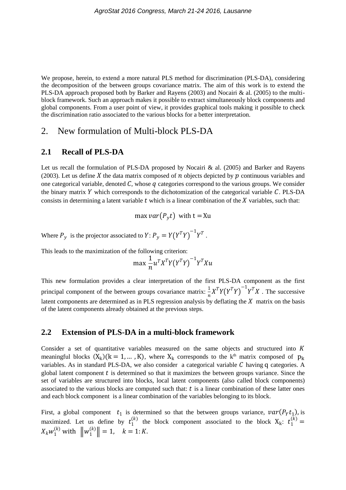We propose, herein, to extend a more natural PLS method for discrimination (PLS-DA), considering the decomposition of the between groups covariance matrix. The aim of this work is to extend the PLS-DA approach proposed both by Barker and Rayens (2003) and Nocairi & al. (2005) to the multiblock framework. Such an approach makes it possible to extract simultaneously block components and global components. From a user point of view, it provides graphical tools making it possible to check the discrimination ratio associated to the various blocks for a better interpretation.

### 2. New formulation of Multi-block PLS-DA

#### **2.1 Recall of PLS-DA**

Let us recall the formulation of PLS-DA proposed by Nocairi  $\&$  al. (2005) and Barker and Rayens (2003). Let us define X the data matrix composed of  $n$  objects depicted by  $p$  continuous variables and one categorical variable, denoted C, whose q categories correspond to the various groups. We consider the binary matrix Y which corresponds to the dichotomization of the categorical variable  $C$ . PLS-DA consists in determining a latent variable  $t$  which is a linear combination of the  $X$  variables, such that:

max  $var(P_v t)$  with  $t = Xu$ 

Where  $P_y$  is the projector associated to  $Y: P_y = Y(Y^T Y)^{-1} Y^T$ .

This leads to the maximization of the following criterion:

$$
\max \frac{1}{n} u^T X^T Y (Y^T Y)^{-1} Y^T X u
$$

This new formulation provides a clear interpretation of the first PLS-DA component as the first principal component of the between groups covariance matrix:  $\frac{1}{n}X^TY(Y^TY)^{-1}Y^TX$ . The successive latent components are determined as in PLS regression analysis by deflating the  $X$  matrix on the basis of the latent components already obtained at the previous steps.

#### **2.2 Extension of PLS-DA in a multi-block framework**

Consider a set of quantitative variables measured on the same objects and structured into  $K$ meaningful blocks  $(X_k)(k = 1, ..., K)$ , where  $X_k$  corresponds to the k<sup>th</sup> matrix composed of  $p_k$ variables. As in standard PLS-DA, we also consider a categorical variable  $C$  having q categories. A global latent component  $t$  is determined so that it maximizes the between groups variance. Since the set of variables are structured into blocks, local latent components (also called block components) associated to the various blocks are computed such that:  $t$  is a linear combination of these latter ones and each block component is a linear combination of the variables belonging to its block.

First, a global component  $t_1$  is determined so that the between groups variance,  $var(P_Y t_1)$ , is maximized. Let us define by  $t_1^{(k)}$  the block component associated to the block  $X_k$ :  $t_1^{(k)}$  =  $X_k w_1^{(k)}$  with  $\|w_1^{(k)}\| = 1, \quad k = 1:K.$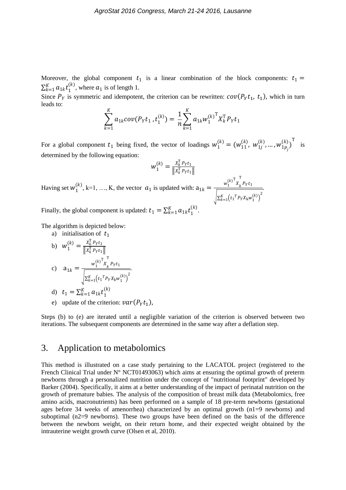Moreover, the global component  $t_1$  is a linear combination of the block components:  $t_1$  =  $\sum_{k=1}^{K} a_{1k} t_1^0$  $_{k=1}^{K} a_{1k} t_1^{(k)}$ , where  $a_1$  is of length 1.

Since  $P_Y$  is symmetric and idempotent, the criterion can be rewritten:  $cov(P_Y t_1, t_1)$ , which in turn leads to:

$$
\sum_{k=1}^{K} a_{1k} cov(P_Y t_1, t_1^{(k)}) = \frac{1}{n} \sum_{k=1}^{K} a_{1k} w_1^{(k)}^{\mathrm{T}} X_k^{\mathrm{T}} P_Y t_1
$$

For a global component  $t_1$  being fixed, the vector of loadings  $w_1^{(k)} = (w_{11}^{(k)}, w_{1j}^{(k)}, ..., w_{1p_j}^{(k)})^T$  is determined by the following equation:

$$
w_1^{(k)} = \frac{x_k^{\mathrm{T}} p_Y t_1}{\|x_k^{\mathrm{T}} p_Y t_1\|}
$$

T  $P_Yt_1$ 

.

Having set  $w_1^{(k)}$ , k=1, ..., K, the vector  $a_1$  is updated with:  $a_{1k} = \frac{w_1^{(k)}x_k^{(k)}}{\sqrt{1-x_k}}$  $\left[\sum_{k=1}^{K} (t_1^T P_Y X_k w_1^{(k)})\right]^2$ 

Finally, the global component is updated:  $t_1 = \sum_{k=1}^{K} a_{1k} t_1^{\mathfrak{l}}$  $_{k=1}^{K}a_{1k}t_{1}^{(k)}$ .

The algorithm is depicted below: a) initialization of  $t$ 

a) intuansation of 
$$
t_1
$$
  
\nb) 
$$
w_1^{(k)} = \frac{x_k^T p_Y t_1}{\|x_k^T p_Y t_1\|}
$$
\nc) 
$$
a_{1k} = \frac{w_1^{(k)^T} x_k^T p_Y t_1}{\sqrt{\sum_{k=1}^K (t_1^T P_Y x_k w_1^{(k)})^2}}
$$
\nd)  $t_1 = \sum_{k=1}^K a_{1k} t_1^{(k)}$ 

e) update of the criterion:  $var(P_Yt_1)$ ,

Steps (b) to (e) are iterated until a negligible variation of the criterion is observed between two iterations. The subsequent components are determined in the same way after a deflation step.

## 3. Application to metabolomics

This method is illustrated on a case study pertaining to the LACATOL project (registered to the French Clinical Trial under N° NCT01493063) which aims at ensuring the optimal growth of preterm newborns through a personalized nutrition under the concept of "nutritional footprint" developed by Barker (2004). Specifically, it aims at a better understanding of the impact of perinatal nutrition on the growth of premature babies. The analysis of the composition of breast milk data (Metabolomics, free amino acids, macronutrients) has been performed on a sample of 18 pre-term newborns (gestational ages before 34 weeks of amenorrhea) characterized by an optimal growth (n1=9 newborns) and suboptimal  $(n2=9)$  newborns). These two groups have been defined on the basis of the difference between the newborn weight, on their return home, and their expected weight obtained by the intrauterine weight growth curve (Olsen et al, 2010).